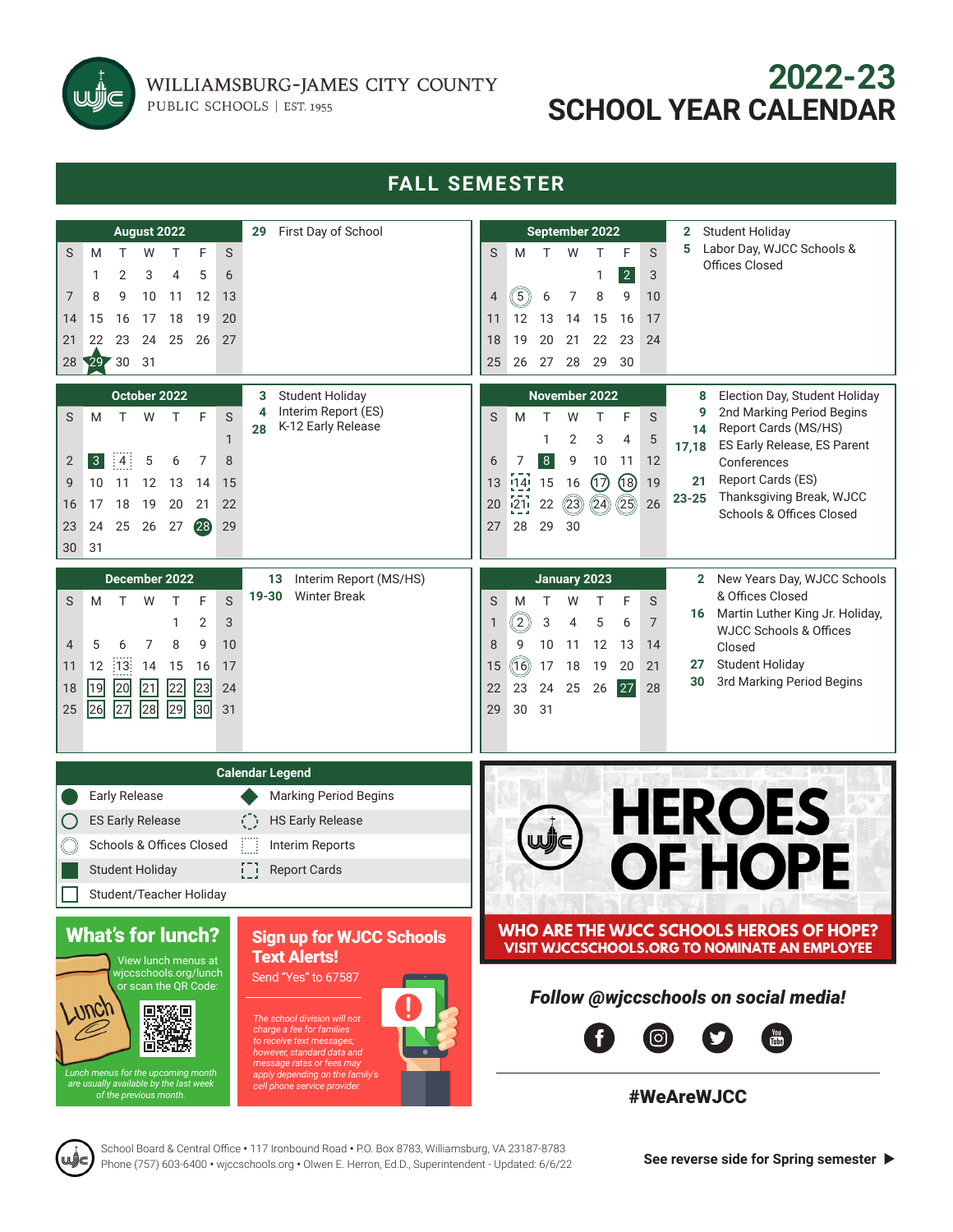

WILLIAMSBURG-JAMES CITY COUNTY

PUBLIC SCHOOLS | EST. 1955

# **2022-23 SCHOOL YEAR CALENDAR**

#### **FALL SEMESTER** Student Holiday **August 2022 29** First Day of School **September 2022 2 5** Labor Day, WJCC Schools & S M T W T F S S M T W T F S Offices Closed 1 2 3 1 2 3 4 5 6 7 8 9 10 11 12 13  $4$  (5) 6 7 8 9 10 14 15 16 17 18 19 20 11 12 13 14 15 16 17 21 22 23 24 25 26 27 18 19 20 21 22 23 24 28 29 30 31 25 26 27 28 29 30 **October 2022 3** Student Holiday **November 2022 8** Election Day, Student Holiday Interim Report (ES) **4 9** 2nd Marking Period Begins S M T W T F S **28** K-12 Early Release **14** Report Cards (MS/HS) 1 1 2 3 4 5 ES Early Release, ES Parent **17,18** 2 3 4 5 6 7 8 6 7 8 9 10 11 12 Conferences Report Cards (ES) 13 14 15 16 17 18 19 **21** 9 10 11 12 13 14 15 Thanksgiving Break, WJCC **23-25** 20 21 22 23 24 25 26 16 17 18 19 20 21 22 Schools & Offices Closed 27 28 29 30 23 24 25 26 27 28 29 30 31 **December 2022 13** Interim Report (MS/HS) **January 2023 2** New Years Day, WJCC Schools S M T W T F S 19-30 Winter Break **19-30** & Offices Closed S M T W T F S **16** Martin Luther King Jr. Holiday, 1 2 3  $1$   $(2)$  3 4 5 6 7 WJCC Schools & Offices 8 9 10 11 12 13 14 4 5 6 7 8 9 10 Closed 11 12 13 14 15 16 17 15 16 17 18 19 20 21 **27** Student Holiday **30** 3rd Marking Period Begins 18 19 20 21 22 23 24 22 23 24 25 26 27 28 25 26 27 28 29 30 31 29 30 31 **Calendar Legend** Early Release Marking Period Begins **HEROES** ES Early Release (.) HS Early Release Schools & Offices Closed [interim Reports] OF HOPE Student Holiday **Report Cards** Student/Teacher HolidayWHO ARE THE WJCC SCHOOLS HEROES OF HOPE? What's for lunch? Sign up for WJCC Schools **VISIT WJCCSCHOOLS.ORG TO NOMINATE AN EMPLOYEE** Text Alerts! View lunch menus at wjccschools.org/lunch Send "Yes" to 67587 scan the QR Code *Follow @wjccschools on social media!* 7 IV V *charge a fee for families*  You<br>mm [O] *to receive text messages; however, standard data and message rates or fees may Lunch menus for the upcoming month apply depending on the family's are usually available by the last week cell phone service provider. of the previous month.* #WeAreWJCC

School Board & Central Office **•** 117 Ironbound Road **•** P.O. Box 8783, Williamsburg, VA 23187-8783 **Phone (757) 603-6400 • wjccschools.org • Olwen E. Herron, Ed.D., Superintendent - Updated: 6/6/22 See reverse side for Spring semester ▶**